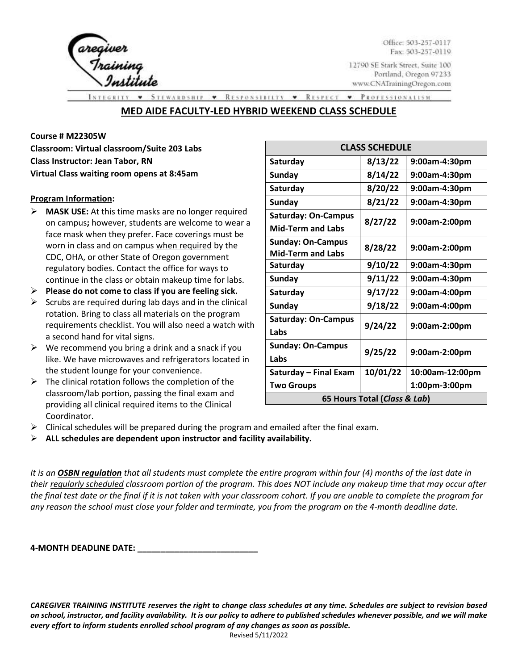

Office: 503-257-0117 Fax: 503-257-0119

12790 SE Stark Street, Suite 100 Portland, Oregon 97233 www.CNATrainingOregon.com

**STEWARDSHIP** RESPONSIBILTY • RESPECT • PROFESSIONALISM  $\bullet$ 

# **MED AIDE FACULTY-LED HYBRID WEEKEND CLASS SCHEDULE**

#### **Course # M22305W**

**Classroom: Virtual classroom/Suite 203 Labs Class Instructor: Jean Tabor, RN Virtual Class waiting room opens at 8:45am**

#### **Program Information:**

- ➢ **MASK USE:** At this time masks are no longer required on campus**;** however, students are welcome to wear a face mask when they prefer. Face coverings must be worn in class and on campus when required by the CDC, OHA, or other State of Oregon government regulatory bodies. Contact the office for ways to continue in the class or obtain makeup time for labs.
- ➢ **Please do not come to class if you are feeling sick.**
- $\triangleright$  Scrubs are required during lab days and in the clinical rotation. Bring to class all materials on the program requirements checklist. You will also need a watch with a second hand for vital signs.
- $\triangleright$  We recommend you bring a drink and a snack if you like. We have microwaves and refrigerators located in the student lounge for your convenience.
- $\triangleright$  The clinical rotation follows the completion of the classroom/lab portion, passing the final exam and providing all clinical required items to the Clinical Coordinator.

| <b>CLASS SCHEDULE</b>        |          |                 |
|------------------------------|----------|-----------------|
| Saturday                     | 8/13/22  | 9:00am-4:30pm   |
| Sunday                       | 8/14/22  | 9:00am-4:30pm   |
| Saturday                     | 8/20/22  | 9:00am-4:30pm   |
| <b>Sunday</b>                | 8/21/22  | 9:00am-4:30pm   |
| <b>Saturday: On-Campus</b>   | 8/27/22  | 9:00am-2:00pm   |
| <b>Mid-Term and Labs</b>     |          |                 |
| <b>Sunday: On-Campus</b>     | 8/28/22  | 9:00am-2:00pm   |
| <b>Mid-Term and Labs</b>     |          |                 |
| Saturday                     | 9/10/22  | 9:00am-4:30pm   |
| <b>Sunday</b>                | 9/11/22  | 9:00am-4:30pm   |
| Saturday                     | 9/17/22  | 9:00am-4:00pm   |
| <b>Sunday</b>                | 9/18/22  | 9:00am-4:00pm   |
| <b>Saturday: On-Campus</b>   | 9/24/22  | 9:00am-2:00pm   |
| Labs                         |          |                 |
| <b>Sunday: On-Campus</b>     | 9/25/22  | 9:00am-2:00pm   |
| Labs                         |          |                 |
| Saturday - Final Exam        | 10/01/22 | 10:00am-12:00pm |
| <b>Two Groups</b>            |          | 1:00pm-3:00pm   |
| 65 Hours Total (Class & Lab) |          |                 |

- $\triangleright$  Clinical schedules will be prepared during the program and emailed after the final exam.
- ➢ **ALL schedules are dependent upon instructor and facility availability.**

*It is an OSBN regulation that all students must complete the entire program within four (4) months of the last date in their regularly scheduled classroom portion of the program. This does NOT include any makeup time that may occur after the final test date or the final if it is not taken with your classroom cohort. If you are unable to complete the program for any reason the school must close your folder and terminate, you from the program on the 4-month deadline date.* 

**4-MONTH DEADLINE DATE: \_\_\_\_\_\_\_\_\_\_\_\_\_\_\_\_\_\_\_\_\_\_\_\_\_\_**

*CAREGIVER TRAINING INSTITUTE reserves the right to change class schedules at any time. Schedules are subject to revision based on school, instructor, and facility availability. It is our policy to adhere to published schedules whenever possible, and we will make every effort to inform students enrolled school program of any changes as soon as possible.*